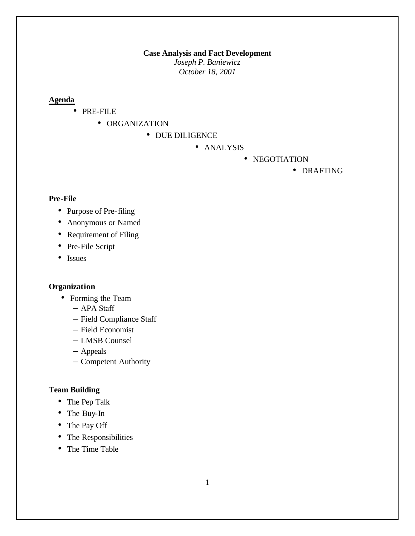#### **Case Analysis and Fact Development**

*Joseph P. Baniewicz October 18, 2001*

## **Agenda**

- PRE-FILE
	- ORGANIZATION
		- DUE DILIGENCE
			- ANALYSIS
				- NEGOTIATION

• DRAFTING

### **Pre-File**

- Purpose of Pre-filing
- Anonymous or Named
- Requirement of Filing
- Pre-File Script
- Issues

## **Organization**

- Forming the Team
	- APA Staff
	- Field Compliance Staff
	- Field Economist
	- LMSB Counsel
	- Appeals
	- Competent Authority

### **Team Building**

- The Pep Talk
- The Buy-In
- The Pay Off
- The Responsibilities
- The Time Table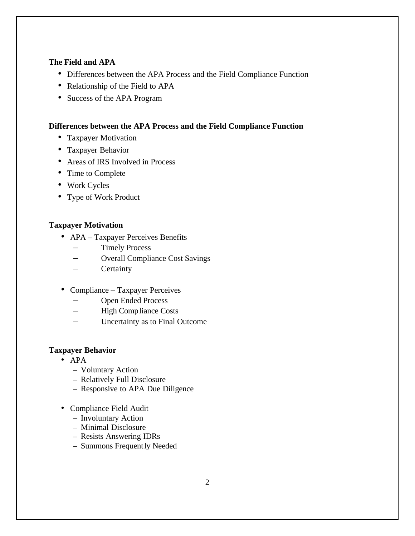### **The Field and APA**

- Differences between the APA Process and the Field Compliance Function
- Relationship of the Field to APA
- Success of the APA Program

# **Differences between the APA Process and the Field Compliance Function**

- Taxpayer Motivation
- Taxpayer Behavior
- Areas of IRS Involved in Process
- Time to Complete
- Work Cycles
- Type of Work Product

#### **Taxpayer Motivation**

- APA Taxpayer Perceives Benefits
	- Timely Process
	- Overall Compliance Cost Savings
	- Certainty
- Compliance Taxpayer Perceives
	- Open Ended Process
	- High Compliance Costs
	- Uncertainty as to Final Outcome

### **Taxpayer Behavior**

- APA
	- Voluntary Action
	- Relatively Full Disclosure
	- Responsive to APA Due Diligence
- Compliance Field Audit
	- Involuntary Action
	- Minimal Disclosure
	- Resists Answering IDRs
	- Summons Frequently Needed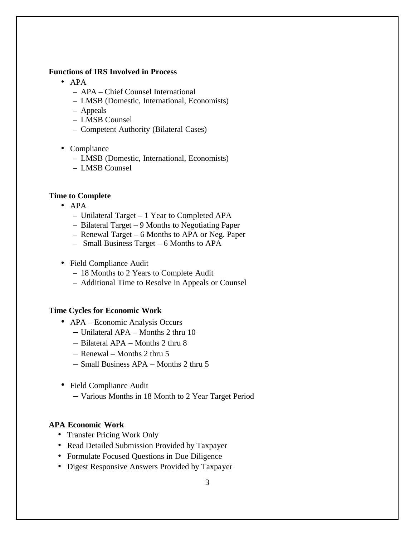#### **Functions of IRS Involved in Process**

- APA
	- APA Chief Counsel International
	- LMSB (Domestic, International, Economists)
	- Appeals
	- LMSB Counsel
	- Competent Authority (Bilateral Cases)
- Compliance
	- LMSB (Domestic, International, Economists)
	- LMSB Counsel

#### **Time to Complete**

- APA
	- Unilateral Target 1 Year to Completed APA
	- Bilateral Target 9 Months to Negotiating Paper
	- Renewal Target 6 Months to APA or Neg. Paper
	- Small Business Target 6 Months to APA
- Field Compliance Audit
	- 18 Months to 2 Years to Complete Audit
	- Additional Time to Resolve in Appeals or Counsel

### **Time Cycles for Economic Work**

- APA Economic Analysis Occurs
	- Unilateral APA Months 2 thru 10
	- Bilateral APA Months 2 thru 8
	- Renewal Months 2 thru 5
	- Small Business APA Months 2 thru 5
- Field Compliance Audit
	- Various Months in 18 Month to 2 Year Target Period

### **APA Economic Work**

- Transfer Pricing Work Only
- Read Detailed Submission Provided by Taxpayer
- Formulate Focused Questions in Due Diligence
- Digest Responsive Answers Provided by Taxpayer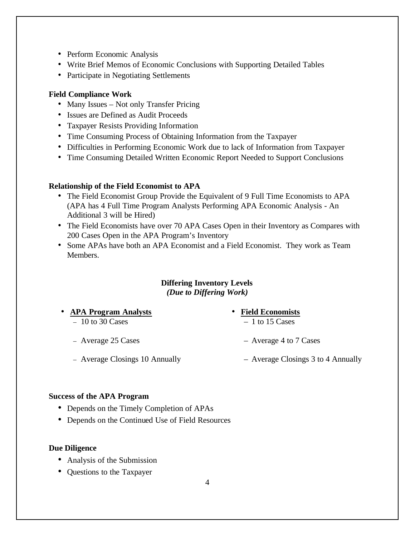- Perform Economic Analysis
- Write Brief Memos of Economic Conclusions with Supporting Detailed Tables
- Participate in Negotiating Settlements

# **Field Compliance Work**

- Many Issues Not only Transfer Pricing
- Issues are Defined as Audit Proceeds
- Taxpayer Resists Providing Information
- Time Consuming Process of Obtaining Information from the Taxpayer
- Difficulties in Performing Economic Work due to lack of Information from Taxpayer
- Time Consuming Detailed Written Economic Report Needed to Support Conclusions

## **Relationship of the Field Economist to APA**

- The Field Economist Group Provide the Equivalent of 9 Full Time Economists to APA (APA has 4 Full Time Program Analysts Performing APA Economic Analysis - An Additional 3 will be Hired)
- The Field Economists have over 70 APA Cases Open in their Inventory as Compares with 200 Cases Open in the APA Program's Inventory
- Some APAs have both an APA Economist and a Field Economist. They work as Team Members.

## **Differing Inventory Levels** *(Due to Differing Work)*

- **APA Program Analysts**
	- $-10$  to 30 Cases
	- Average 25 Cases
	- Average Closings 10 Annually
- **Field Economists**
	- $-1$  to 15 Cases
	- Average 4 to 7 Cases
	- Average Closings 3 to 4 Annually

## **Success of the APA Program**

- Depends on the Timely Completion of APAs
- Depends on the Continued Use of Field Resources

## **Due Diligence**

- Analysis of the Submission
- Questions to the Taxpayer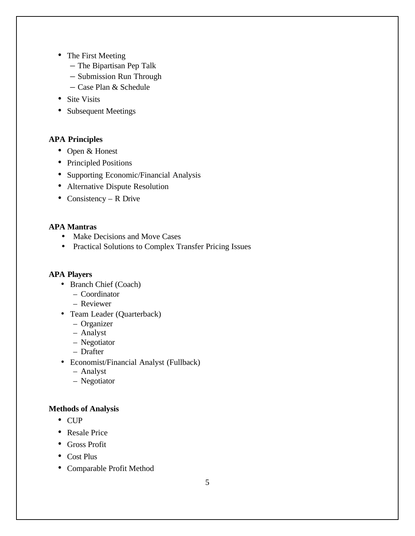- The First Meeting
	- The Bipartisan Pep Talk
	- Submission Run Through
	- Case Plan & Schedule
- Site Visits
- Subsequent Meetings

# **APA Principles**

- Open & Honest
- Principled Positions
- Supporting Economic/Financial Analysis
- Alternative Dispute Resolution
- Consistency R Drive

## **APA Mantras**

- Make Decisions and Move Cases
- Practical Solutions to Complex Transfer Pricing Issues

## **APA Players**

- Branch Chief (Coach)
	- Coordinator
	- Reviewer
- Team Leader (Quarterback)
	- Organizer
	- Analyst
	- Negotiator
	- Drafter
- Economist/Financial Analyst (Fullback)
	- Analyst
	- Negotiator

# **Methods of Analysis**

- CUP
- Resale Price
- Gross Profit
- Cost Plus
- Comparable Profit Method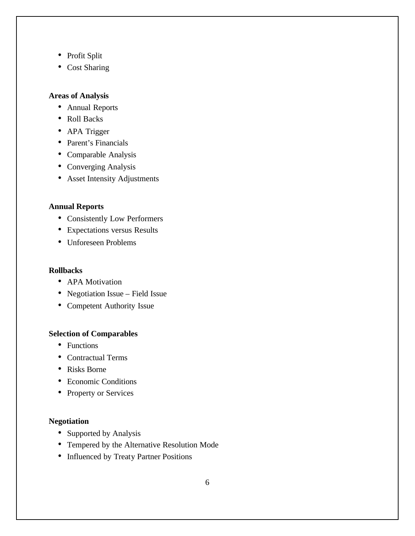- Profit Split
- Cost Sharing

# **Areas of Analysis**

- Annual Reports
- Roll Backs
- APA Trigger
- Parent's Financials
- Comparable Analysis
- Converging Analysis
- Asset Intensity Adjustments

# **Annual Reports**

- Consistently Low Performers
- Expectations versus Results
- Unforeseen Problems

#### **Rollbacks**

- APA Motivation
- Negotiation Issue Field Issue
- Competent Authority Issue

### **Selection of Comparables**

- Functions
- Contractual Terms
- Risks Borne
- Economic Conditions
- Property or Services

## **Negotiation**

- Supported by Analysis
- Tempered by the Alternative Resolution Mode
- Influenced by Treaty Partner Positions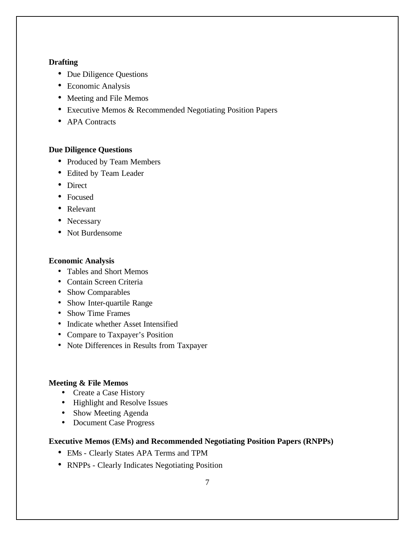### **Drafting**

- Due Diligence Questions
- Economic Analysis
- Meeting and File Memos
- Executive Memos & Recommended Negotiating Position Papers
- APA Contracts

## **Due Diligence Questions**

- Produced by Team Members
- Edited by Team Leader
- Direct
- Focused
- Relevant
- Necessary
- Not Burdensome

### **Economic Analysis**

- Tables and Short Memos
- Contain Screen Criteria
- Show Comparables
- Show Inter-quartile Range
- Show Time Frames
- Indicate whether Asset Intensified
- Compare to Taxpayer's Position
- Note Differences in Results from Taxpayer

#### **Meeting & File Memos**

- Create a Case History
- Highlight and Resolve Issues
- Show Meeting Agenda
- Document Case Progress

#### **Executive Memos (EMs) and Recommended Negotiating Position Papers (RNPPs)**

- EMs Clearly States APA Terms and TPM
- RNPPs Clearly Indicates Negotiating Position